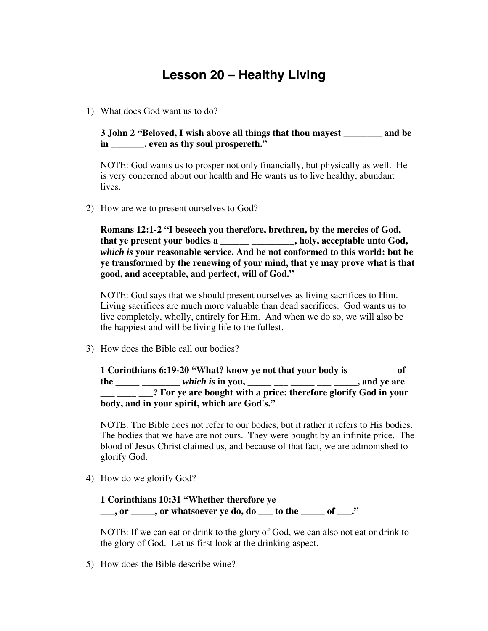## **Lesson 20 – Healthy Living**

1) What does God want us to do?

**3 John 2 "Beloved, I wish above all things that thou mayest \_\_\_\_\_\_\_\_ and be in \_\_\_\_\_\_\_, even as thy soul prospereth."**

NOTE: God wants us to prosper not only financially, but physically as well. He is very concerned about our health and He wants us to live healthy, abundant lives.

2) How are we to present ourselves to God?

**Romans 12:1-2 "I beseech you therefore, brethren, by the mercies of God, that ye present your bodies a \_\_\_\_\_\_ \_\_\_\_\_\_\_\_\_, holy, acceptable unto God,** *which is* **your reasonable service. And be not conformed to this world: but be ye transformed by the renewing of your mind, that ye may prove what is that good, and acceptable, and perfect, will of God."**

NOTE: God says that we should present ourselves as living sacrifices to Him. Living sacrifices are much more valuable than dead sacrifices. God wants us to live completely, wholly, entirely for Him. And when we do so, we will also be the happiest and will be living life to the fullest.

3) How does the Bible call our bodies?

**1 Corinthians 6:19-20 "What? know ye not that your body is \_\_\_ \_\_\_\_\_\_ of the \_\_\_\_\_ \_\_\_\_\_\_\_\_** *which is* **in you, \_\_\_\_\_ \_\_\_ \_\_\_\_\_ \_\_\_ \_\_\_\_\_, and ye are \_\_\_ \_\_\_\_ \_\_\_? For ye are bought with a price: therefore glorify God in your body, and in your spirit, which are God's."**

NOTE: The Bible does not refer to our bodies, but it rather it refers to His bodies. The bodies that we have are not ours. They were bought by an infinite price. The blood of Jesus Christ claimed us, and because of that fact, we are admonished to glorify God.

4) How do we glorify God?

## **1 Corinthians 10:31 "Whether therefore ye \_\_\_, or \_\_\_\_\_, or whatsoever ye do, do \_\_\_ to the \_\_\_\_\_ of \_\_\_."**

NOTE: If we can eat or drink to the glory of God, we can also not eat or drink to the glory of God. Let us first look at the drinking aspect.

5) How does the Bible describe wine?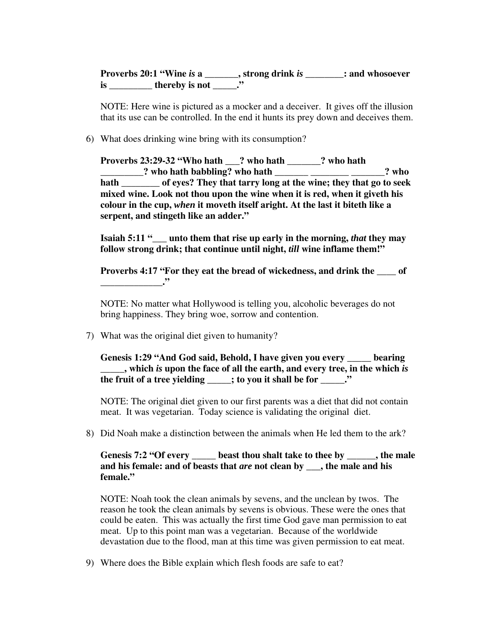**Proverbs 20:1 "Wine** *is* **a \_\_\_\_\_\_\_, strong drink** *is* **\_\_\_\_\_\_\_\_: and whosoever is \_\_\_\_\_\_\_\_\_\_ thereby is not \_\_\_\_\_."** 

NOTE: Here wine is pictured as a mocker and a deceiver. It gives off the illusion that its use can be controlled. In the end it hunts its prey down and deceives them.

6) What does drinking wine bring with its consumption?

**Proverbs 23:29-32 "Who hath \_\_\_? who hath \_\_\_\_\_\_\_? who hath \_\_\_\_\_\_\_\_\_? who hath babbling? who hath \_\_\_\_\_\_\_ \_\_\_\_\_\_\_\_ \_\_\_\_\_\_\_? who hath \_\_\_\_\_\_\_\_ of eyes? They that tarry long at the wine; they that go to seek mixed wine. Look not thou upon the wine when it is red, when it giveth his colour in the cup,** *when* **it moveth itself aright. At the last it biteth like a serpent, and stingeth like an adder."**

**Isaiah 5:11 "\_\_\_ unto them that rise up early in the morning,** *that* **they may follow strong drink; that continue until night,** *till* **wine inflame them!"**

**Proverbs 4:17 "For they eat the bread of wickedness, and drink the \_\_\_\_ of \_\_\_\_\_\_\_\_\_\_\_\_\_."**

NOTE: No matter what Hollywood is telling you, alcoholic beverages do not bring happiness. They bring woe, sorrow and contention.

7) What was the original diet given to humanity?

**Genesis 1:29 "And God said, Behold, I have given you every \_\_\_\_\_ bearing \_\_\_\_\_, which** *is* **upon the face of all the earth, and every tree, in the which** *is* **the fruit of a tree yielding \_\_\_\_\_; to you it shall be for \_\_\_\_\_\_."** 

NOTE: The original diet given to our first parents was a diet that did not contain meat. It was vegetarian. Today science is validating the original diet.

8) Did Noah make a distinction between the animals when He led them to the ark?

**Genesis 7:2 "Of every \_\_\_\_\_ beast thou shalt take to thee by \_\_\_\_\_\_, the male and his female: and of beasts that** *are* **not clean by \_\_\_, the male and his female."**

NOTE: Noah took the clean animals by sevens, and the unclean by twos. The reason he took the clean animals by sevens is obvious. These were the ones that could be eaten. This was actually the first time God gave man permission to eat meat. Up to this point man was a vegetarian. Because of the worldwide devastation due to the flood, man at this time was given permission to eat meat.

9) Where does the Bible explain which flesh foods are safe to eat?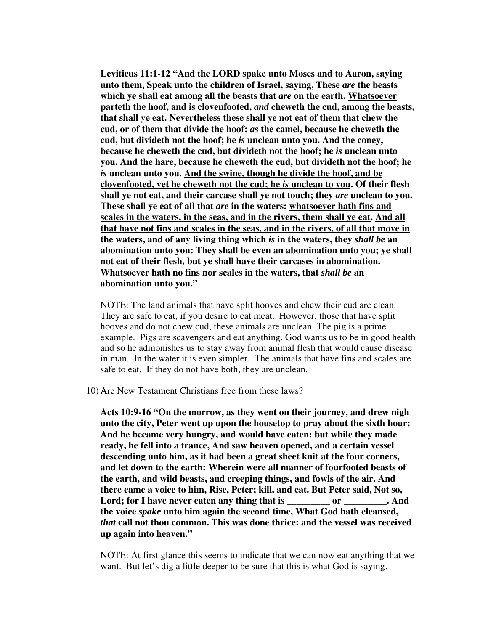**Leviticus 11:1-12 "And the LORD spake unto Moses and to Aaron, saying unto them, Speak unto the children of Israel, saying, These** *are* **the beasts which ye shall eat among all the beasts that** *are* **on the earth. Whatsoever parteth the hoof, and is clovenfooted,** *and* **cheweth the cud, among the beasts, that shall ye eat. Nevertheless these shall ye not eat of them that chew the cud, or of them that divide the hoof:** *as* **the camel, because he cheweth the cud, but divideth not the hoof; he** *is* **unclean unto you. And the coney, because he cheweth the cud, but divideth not the hoof; he** *is* **unclean unto you. And the hare, because he cheweth the cud, but divideth not the hoof; he** *is* **unclean unto you. And the swine, though he divide the hoof, and be clovenfooted, yet he cheweth not the cud; he** *is* **unclean to you. Of their flesh shall ye not eat, and their carcase shall ye not touch; they** *are* **unclean to you. These shall ye eat of all that** *are* **in the waters: whatsoever hath fins and scales in the waters, in the seas, and in the rivers, them shall ye eat. And all that have not fins and scales in the seas, and in the rivers, of all that move in the waters, and of any living thing which** *is* **in the waters, they** *shall be* **an abomination unto you: They shall be even an abomination unto you; ye shall not eat of their flesh, but ye shall have their carcases in abomination. Whatsoever hath no fins nor scales in the waters, that** *shall be* **an abomination unto you."**

NOTE: The land animals that have split hooves and chew their cud are clean. They are safe to eat, if you desire to eat meat. However, those that have split hooves and do not chew cud, these animals are unclean. The pig is a prime example. Pigs are scavengers and eat anything. God wants us to be in good health and so he admonishes us to stay away from animal flesh that would cause disease in man. In the water it is even simpler. The animals that have fins and scales are safe to eat. If they do not have both, they are unclean.

10) Are New Testament Christians free from these laws?

**Acts 10:9-16 "On the morrow, as they went on their journey, and drew nigh unto the city, Peter went up upon the housetop to pray about the sixth hour: And he became very hungry, and would have eaten: but while they made ready, he fell into a trance, And saw heaven opened, and a certain vessel descending unto him, as it had been a great sheet knit at the four corners, and let down to the earth: Wherein were all manner of fourfooted beasts of the earth, and wild beasts, and creeping things, and fowls of the air. And there came a voice to him, Rise, Peter; kill, and eat. But Peter said, Not so,** Lord; for I have never eaten any thing that is \_\_\_\_\_\_\_\_\_\_ or \_\_\_\_\_\_\_\_\_. And **the voice** *spake* **unto him again the second time, What God hath cleansed,** *that* **call not thou common. This was done thrice: and the vessel was received up again into heaven."**

NOTE: At first glance this seems to indicate that we can now eat anything that we want. But let's dig a little deeper to be sure that this is what God is saying.